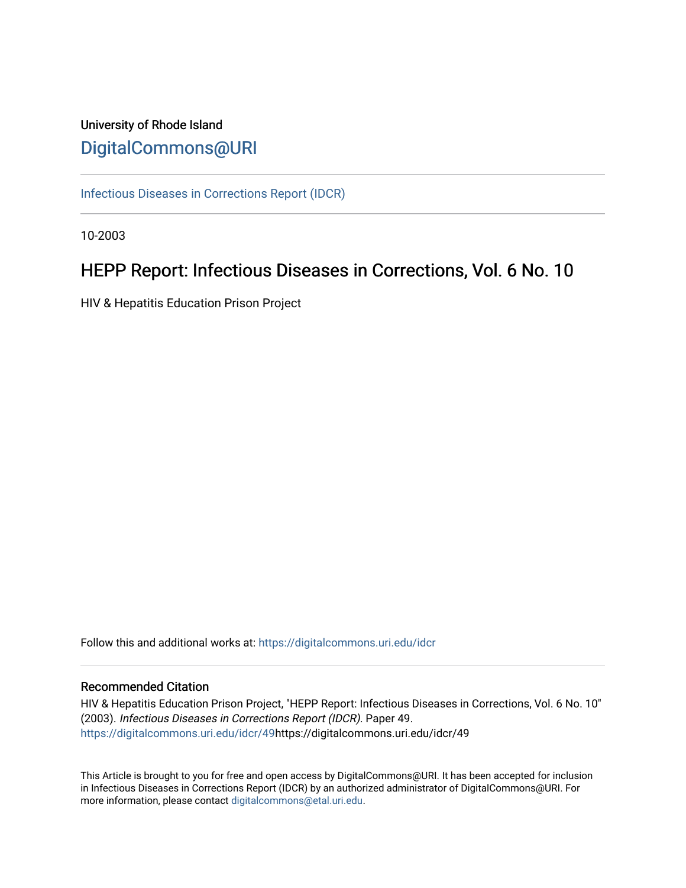# University of Rhode Island [DigitalCommons@URI](https://digitalcommons.uri.edu/)

[Infectious Diseases in Corrections Report \(IDCR\)](https://digitalcommons.uri.edu/idcr)

10-2003

# HEPP Report: Infectious Diseases in Corrections, Vol. 6 No. 10

HIV & Hepatitis Education Prison Project

Follow this and additional works at: [https://digitalcommons.uri.edu/idcr](https://digitalcommons.uri.edu/idcr?utm_source=digitalcommons.uri.edu%2Fidcr%2F49&utm_medium=PDF&utm_campaign=PDFCoverPages)

### Recommended Citation

HIV & Hepatitis Education Prison Project, "HEPP Report: Infectious Diseases in Corrections, Vol. 6 No. 10" (2003). Infectious Diseases in Corrections Report (IDCR). Paper 49. [https://digitalcommons.uri.edu/idcr/49h](https://digitalcommons.uri.edu/idcr/49?utm_source=digitalcommons.uri.edu%2Fidcr%2F49&utm_medium=PDF&utm_campaign=PDFCoverPages)ttps://digitalcommons.uri.edu/idcr/49

This Article is brought to you for free and open access by DigitalCommons@URI. It has been accepted for inclusion in Infectious Diseases in Corrections Report (IDCR) by an authorized administrator of DigitalCommons@URI. For more information, please contact [digitalcommons@etal.uri.edu.](mailto:digitalcommons@etal.uri.edu)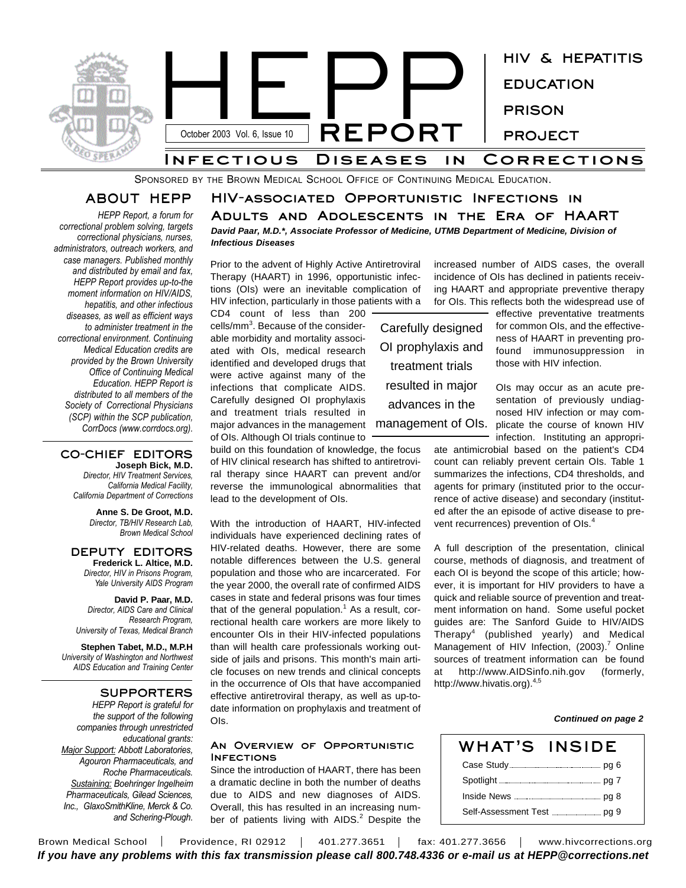

SPONSORED BY THE BROWN MEDICAL SCHOOL OFFICE OF CONTINUING MEDICAL EDUCATION.

## **ABOUT HEPP**

*HEPP Report, a forum for correctional problem solving, targets correctional physicians, nurses, administrators, outreach workers, and case managers. Published monthly and distributed by email and fax, HEPP Report provides up-to-the moment information on HIV/AIDS, hepatitis, and other infectious diseases, as well as efficient ways to administer treatment in the correctional environment. Continuing Medical Education credits are provided by the Brown University Office of Continuing Medical Education. HEPP Report is distributed to all members of the Society of Correctional Physicians (SCP) within the SCP publication, CorrDocs (www.corrdocs.org).*

#### **CO-CHIEF EDITORS Joseph Bick, M.D.**

*Director, HIV Treatment Services, California Medical Facility, California Department of Corrections*

> **Anne S. De Groot, M.D.** *Director, TB/HIV Research Lab, Brown Medical School*

**DEPUTY EDITORS Frederick L. Altice, M.D.** *Director, HIV in Prisons Program, Yale University AIDS Program*

**David P. Paar, M.D.** *Director, AIDS Care and Clinical Research Program, University of Texas, Medical Branch*

**Stephen Tabet, M.D., M.P.H** *University of Washington and Northwest AIDS Education and Training Center*

#### **SUPPORTERS**

*HEPP Report is grateful for the support of the following companies through unrestricted educational grants: Major Support: Abbott Laboratories, Agouron Pharmaceuticals, and Roche Pharmaceuticals. Sustaining: Boehringer Ingelheim Pharmaceuticals, Gilead Sciences, Inc., GlaxoSmithKline, Merck & Co. and Schering-Plough.*

*David Paar, M.D.\*, Associate Professor of Medicine, UTMB Department of Medicine, Division of Infectious Diseases* **HIV-associated Opportunistic Infections in Adults and Adolescents in the Era of HAART**

Prior to the advent of Highly Active Antiretroviral Therapy (HAART) in 1996, opportunistic infections (OIs) were an inevitable complication of HIV infection, particularly in those patients with a

CD4 count of less than 200 cells/mm 3 . Because of the considerable morbidity and mortality associated with OIs, medical research identified and developed drugs that were active against many of the infections that complicate AIDS. Carefully designed OI prophylaxis and treatment trials resulted in major advances in the management of OIs. Although OI trials continue to

build on this foundation of knowledge, the focus of HIV clinical research has shifted to antiretroviral therapy since HAART can prevent and/or reverse the immunological abnormalities that lead to the development of OIs.

With the introduction of HAART, HIV-infected individuals have experienced declining rates of HIV-related deaths. However, there are some notable differences between the U.S. general population and those who are incarcerated. For the year 2000, the overall rate of confirmed AIDS cases in state and federal prisons was four times that of the general population.<sup>1</sup> As a result, correctional health care workers are more likely to encounter OIs in their HIV-infected populations than will health care professionals working outside of jails and prisons. This month's main article focuses on new trends and clinical concepts in the occurrence of OIs that have accompanied effective antiretroviral therapy, as well as up-todate information on prophylaxis and treatment of OIs.

#### **An Overview of Opportunistic Infections**

Since the introduction of HAART, there has been a dramatic decline in both the number of deaths due to AIDS and new diagnoses of AIDS. Overall, this has resulted in an increasing number of patients living with AIDS.<sup>2</sup> Despite the

increased number of AIDS cases, the overall incidence of OIs has declined in patients receiving HAART and appropriate preventive therapy for OIs. This reflects both the widespread use of

Carefully designed OI prophylaxis and treatment trials resulted in major advances in the

effective preventative treatments for common OIs, and the effectiveness of HAART in preventing profound immunosuppression in those with HIV infection.

OIs may occur as an acute presentation of previously undiagnosed HIV infection or may commanagement of OIs. plicate the course of known HIV infection. Instituting an appropri-

ate antimicrobial based on the patient's CD4 count can reliably prevent certain OIs. Table 1 summarizes the infections, CD4 thresholds, and agents for primary (instituted prior to the occurrence of active disease) and secondary (instituted after the an episode of active disease to prevent recurrences) prevention of OIs.<sup>4</sup>

A full description of the presentation, clinical course, methods of diagnosis, and treatment of each OI is beyond the scope of this article; however, it is important for HIV providers to have a quick and reliable source of prevention and treatment information on hand. Some useful pocket guides are: The Sanford Guide to HIV/AIDS Therapy 4 (published yearly) and Medical Management of HIV Infection, (2003).<sup>7</sup> Online sources of treatment information can be found http://www.AIDSinfo.nih.gov (formerly, http://www.hivatis.org).<sup>4,5</sup>

#### *Continued on page 2*

| WHAT'S INSIDE |  |
|---------------|--|
|               |  |
|               |  |
|               |  |
|               |  |

Brown Medical School | Providence, RI 02912 | 401.277.3651 | fax: 401.277.3656 | www.hivcorrections.org *If you have any problems with this fax transmission please call 800.748.4336 or e-mail us at HEPP@corrections.net*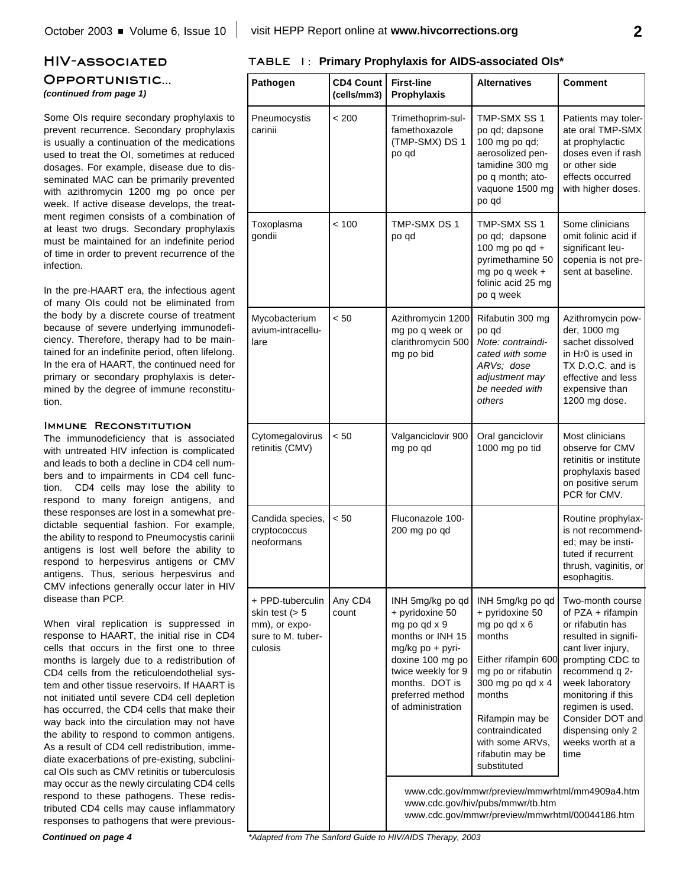# **HIV-associated Opportunistic...** *(continued from page 1)*

Some OIs require secondary prophylaxis to prevent recurrence. Secondary prophylaxis is usually a continuation of the medications used to treat the OI, sometimes at reduced dosages. For example, disease due to disseminated MAC can be primarily prevented with azithromycin 1200 mg po once per week. If active disease develops, the treatment regimen consists of a combination of at least two drugs. Secondary prophylaxis must be maintained for an indefinite period of time in order to prevent recurrence of the infection.

In the pre-HAART era, the infectious agent of many OIs could not be eliminated from the body by a discrete course of treatment because of severe underlying immunodeficiency. Therefore, therapy had to be maintained for an indefinite period, often lifelong. In the era of HAART, the continued need for primary or secondary prophylaxis is determined by the degree of immune reconstitution.

### **IMMUNE RECONSTITUTION**

The immunodeficiency that is associated with untreated HIV infection is complicated and leads to both a decline in CD4 cell numbers and to impairments in CD4 cell function. CD4 cells may lose the ability to respond to many foreign antigens, and these responses are lost in a somewhat predictable sequential fashion. For example, the ability to respond to Pneumocystis carinii antigens is lost well before the ability to respond to herpesvirus antigens or CMV antigens. Thus, serious herpesvirus and CMV infections generally occur later in HIV disease than PCP.

When viral replication is suppressed in response to HAART, the initial rise in CD4 cells that occurs in the first one to three months is largely due to a redistribution of CD4 cells from the reticuloendothelial system and other tissue reservoirs. If HAART is not initiated until severe CD4 cell depletion has occurred, the CD4 cells that make their way back into the circulation may not have the ability to respond to common antigens. As a result of CD4 cell redistribution, immediate exacerbations of pre-existing, subclinical OIs such as CMV retinitis or tuberculosis may occur as the newly circulating CD4 cells respond to these pathogens. These redistributed CD4 cells may cause inflammatory responses to pathogens that were previous**TABLE 1: Primary Prophylaxis for AIDS-associated OIs\***

| Pathogen                                                                               | <b>CD4 Count</b><br>(cells/mm3) | <b>First-line</b><br>Prophylaxis                                                                                                                                                                 | <b>Alternatives</b>                                                                                                                                                                                                                  | <b>Comment</b>                                                                                                                                                                                                                                                                  |
|----------------------------------------------------------------------------------------|---------------------------------|--------------------------------------------------------------------------------------------------------------------------------------------------------------------------------------------------|--------------------------------------------------------------------------------------------------------------------------------------------------------------------------------------------------------------------------------------|---------------------------------------------------------------------------------------------------------------------------------------------------------------------------------------------------------------------------------------------------------------------------------|
| Pneumocystis<br>carinii                                                                | < 200                           | Trimethoprim-sul-<br>famethoxazole<br>(TMP-SMX) DS 1<br>po gd                                                                                                                                    | TMP-SMX SS 1<br>po qd; dapsone<br>100 mg po qd;<br>aerosolized pen-<br>tamidine 300 mg<br>po q month; ato-<br>vaquone 1500 mg<br>po qd                                                                                               | Patients may toler-<br>ate oral TMP-SMX<br>at prophylactic<br>doses even if rash<br>or other side<br>effects occurred<br>with higher doses.                                                                                                                                     |
| Toxoplasma<br>gondii                                                                   | < 100                           | TMP-SMX DS 1<br>po qd                                                                                                                                                                            | TMP-SMX SS 1<br>po qd; dapsone<br>100 mg po qd +<br>pyrimethamine 50<br>mg po q week +<br>folinic acid 25 mg<br>po q week                                                                                                            | Some clinicians<br>omit folinic acid if<br>significant leu-<br>copenia is not pre-<br>sent at baseline.                                                                                                                                                                         |
| Mycobacterium<br>avium-intracellu-<br>lare                                             | < 50                            | Azithromycin 1200<br>mg po q week or<br>clarithromycin 500<br>mg po bid                                                                                                                          | Rifabutin 300 mg<br>po qd<br>Note: contraindi-<br>cated with some<br>ARVs; dose<br>adjustment may<br>be needed with<br>others                                                                                                        | Azithromycin pow-<br>der, 1000 mg<br>sachet dissolved<br>in H <sub>2</sub> 0 is used in<br>TX D.O.C. and is<br>effective and less<br>expensive than<br>1200 mg dose.                                                                                                            |
| Cytomegalovirus<br>retinitis (CMV)                                                     | < 50                            | Valganciclovir 900<br>mg po qd                                                                                                                                                                   | Oral ganciclovir<br>1000 mg po tid                                                                                                                                                                                                   | Most clinicians<br>observe for CMV<br>retinitis or institute<br>prophylaxis based<br>on positive serum<br>PCR for CMV.                                                                                                                                                          |
| Candida species,<br>cryptococcus<br>neoformans                                         | < 50                            | Fluconazole 100-<br>200 mg po qd                                                                                                                                                                 |                                                                                                                                                                                                                                      | Routine prophylax-<br>is not recommend-<br>ed; may be insti-<br>tuted if recurrent<br>thrush, vaginitis, or<br>esophagitis.                                                                                                                                                     |
| + PPD-tuberculin<br>skin test ( $> 5$<br>mm), or expo-<br>sure to M. tuber-<br>culosis | Any CD4<br>count                | INH 5mg/kg po qd<br>+ pyridoxine 50<br>mg po qd x 9<br>months or INH 15<br>mg/kg po + pyri-<br>doxine 100 mg po<br>twice weekly for 9<br>months. DOT is<br>preferred method<br>of administration | INH 5mg/kg po qd<br>+ pyridoxine 50<br>mg po qd x 6<br>months<br>Either rifampin 600<br>mg po or rifabutin<br>300 mg po qd x 4<br>months<br>Rifampin may be<br>contraindicated<br>with some ARVs.<br>rifabutin may be<br>substituted | Two-month course<br>of PZA + rifampin<br>or rifabutin has<br>resulted in signifi-<br>cant liver injury,<br>prompting CDC to<br>recommend q 2-<br>week laboratory<br>monitoring if this<br>regimen is used.<br>Consider DOT and<br>dispensing only 2<br>weeks worth at a<br>time |
|                                                                                        |                                 |                                                                                                                                                                                                  | www.cdc.gov/mmwr/preview/mmwrhtml/mm4909a4.htm<br>www.cdc.gov/hiv/pubs/mmwr/tb.htm<br>www.cdc.gov/mmwr/preview/mmwrhtml/00044186.htm                                                                                                 |                                                                                                                                                                                                                                                                                 |

*\*Adapted from The Sanford Guide to HIV/AIDS Therapy, 2003*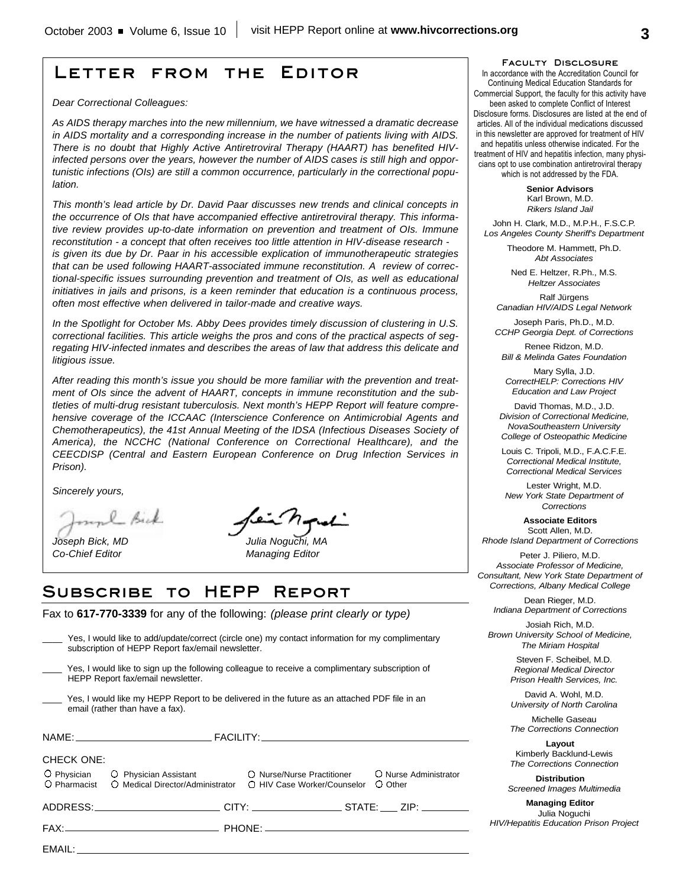# **Letter from the Editor**

*Dear Correctional Colleagues:*

*As AIDS therapy marches into the new millennium, we have witnessed a dramatic decrease in AIDS mortality and a corresponding increase in the number of patients living with AIDS. There is no doubt that Highly Active Antiretroviral Therapy (HAART) has benefited HIVinfected persons over the years, however the number of AIDS cases is still high and opportunistic infections (OIs) are still a common occurrence, particularly in the correctional population.*

*This month's lead article by Dr. David Paar discusses new trends and clinical concepts in the occurrence of OIs that have accompanied effective antiretroviral therapy. This informative review provides up-to-date information on prevention and treatment of OIs. Immune reconstitution - a concept that often receives too little attention in HIV-disease research is given its due by Dr. Paar in his accessible explication of immunotherapeutic strategies that can be used following HAART-associated immune reconstitution. A review of correctional-specific issues surrounding prevention and treatment of OIs, as well as educational initiatives in jails and prisons, is a keen reminder that education is a continuous process, often most effective when delivered in tailor-made and creative ways.*

*In the Spotlight for October Ms. Abby Dees provides timely discussion of clustering in U.S. correctional facilities. This article weighs the pros and cons of the practical aspects of segregating HIV-infected inmates and describes the areas of law that address this delicate and litigious issue.*

*After reading this month's issue you should be more familiar with the prevention and treatment of OIs since the advent of HAART, concepts in immune reconstitution and the subtleties of multi-drug resistant tuberculosis. Next month's HEPP Report will feature comprehensive coverage of the ICCAAC (Interscience Conference on Antimicrobial Agents and Chemotherapeutics), the 41st Annual Meeting of the IDSA (Infectious Diseases Society of America), the NCCHC (National Conference on Correctional Healthcare), and the CEECDISP (Central and Eastern European Conference on Drug Infection Services in Prison).*

*Sincerely yours,*

unl Bick

*Co-Chief Editor Managing Editor*

*Joseph Bick, MD Julia Noguchi, MA*

# **Subscribe to HEPP Report**

Fax to **617-770-3339** for any of the following: *(please print clearly or type)*

| Yes, I would like to add/update/correct (circle one) my contact information for my complimentary<br>subscription of HEPP Report fax/email newsletter.                                                                          |                                                                                                 |  |  |
|--------------------------------------------------------------------------------------------------------------------------------------------------------------------------------------------------------------------------------|-------------------------------------------------------------------------------------------------|--|--|
| HEPP Report fax/email newsletter.                                                                                                                                                                                              | Yes, I would like to sign up the following colleague to receive a complimentary subscription of |  |  |
| Yes, I would like my HEPP Report to be delivered in the future as an attached PDF file in an<br>email (rather than have a fax).                                                                                                |                                                                                                 |  |  |
|                                                                                                                                                                                                                                |                                                                                                 |  |  |
| <b>CHECK ONE:</b>                                                                                                                                                                                                              |                                                                                                 |  |  |
| O Physician C Physician Assistant C Nurse/Nurse Practitioner<br>O Pharmacist<br>○ Medical Director/Administrator ○ HIV Case Worker/Counselor                                                                                   | O Nurse Administrator<br>O Other                                                                |  |  |
|                                                                                                                                                                                                                                |                                                                                                 |  |  |
|                                                                                                                                                                                                                                |                                                                                                 |  |  |
| EMAIL: The contract of the contract of the contract of the contract of the contract of the contract of the contract of the contract of the contract of the contract of the contract of the contract of the contract of the con |                                                                                                 |  |  |

**Faculty Disclosure**

In accordance with the Accreditation Council for Continuing Medical Education Standards for Commercial Support, the faculty for this activity have been asked to complete Conflict of Interest Disclosure forms. Disclosures are listed at the end of articles. All of the individual medications discussed in this newsletter are approved for treatment of HIV and hepatitis unless otherwise indicated. For the treatment of HIV and hepatitis infection, many physicians opt to use combination antiretroviral therapy which is not addressed by the FDA.

> **Senior Advisors** Karl Brown, M.D. *Rikers Island Jail*

John H. Clark, M.D., M.P.H., F.S.C.P. *Los Angeles County Sheriff's Department*

> Theodore M. Hammett, Ph.D. *Abt Associates*

Ned E. Heltzer, R.Ph., M.S. *Heltzer Associates*

Ralf Jürgens *Canadian HIV/AIDS Legal Network*

Joseph Paris, Ph.D., M.D. *CCHP Georgia Dept. of Corrections*

Renee Ridzon, M.D. *Bill & Melinda Gates Foundation*

Mary Sylla, J.D. *CorrectHELP: Corrections HIV Education and Law Project*

David Thomas, M.D., J.D. *Division of Correctional Medicine, NovaSoutheastern University College of Osteopathic Medicine*

Louis C. Tripoli, M.D., F.A.C.F.E. *Correctional Medical Institute, Correctional Medical Services*

Lester Wright, M.D. *New York State Department of Corrections*

**Associate Editors** Scott Allen, M.D. *Rhode Island Department of Corrections*

Peter J. Piliero, M.D. *Associate Professor of Medicine, Consultant, New York State Department of Corrections, Albany Medical College*

Dean Rieger, M.D. *Indiana Department of Corrections*

Josiah Rich, M.D. *Brown University School of Medicine, The Miriam Hospital*

> Steven F. Scheibel, M.D. *Regional Medical Director Prison Health Services, Inc.*

> David A. Wohl, M.D. *University of North Carolina*

> Michelle Gaseau *The Corrections Connection*

> **Layout** Kimberly Backlund-Lewis *The Corrections Connection*

**Distribution** *Screened Images Multimedia*

**Managing Editor** Julia Noguchi *HIV/Hepatitis Education Prison Project*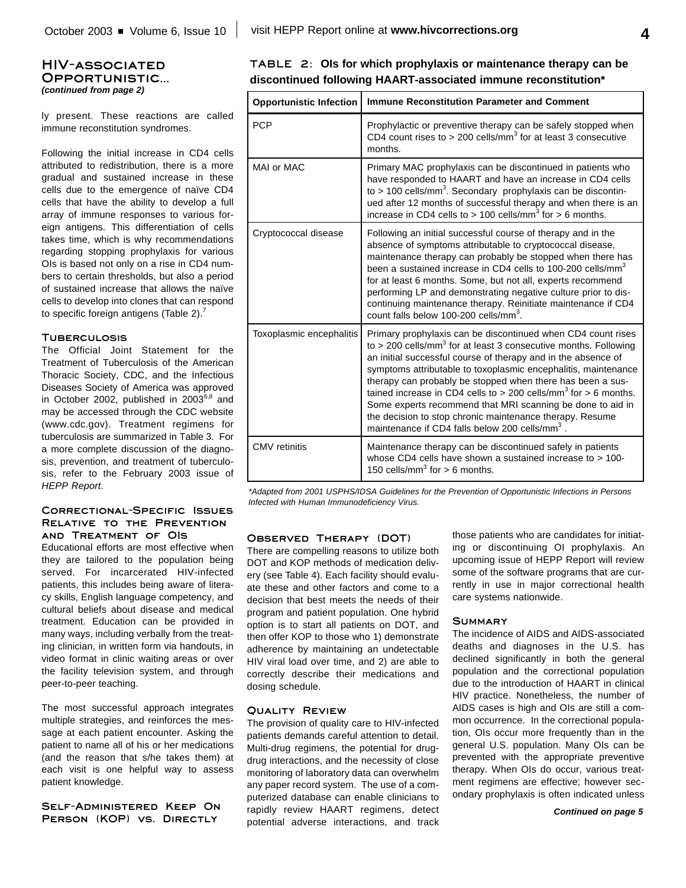### **HIV-associated Opportunistic...** *(continued from page 2)*

ly present. These reactions are called immune reconstitution syndromes.

Following the initial increase in CD4 cells attributed to redistribution, there is a more gradual and sustained increase in these cells due to the emergence of naïve CD4 cells that have the ability to develop a full array of immune responses to various foreign antigens. This differentiation of cells takes time, which is why recommendations regarding stopping prophylaxis for various OIs is based not only on a rise in CD4 numbers to certain thresholds, but also a period of sustained increase that allows the naïve cells to develop into clones that can respond to specific foreign antigens (Table 2).<sup>7</sup>

#### **Tuberculosis**

The Official Joint Statement for the Treatment of Tuberculosis of the American Thoracic Society, CDC, and the Infectious Diseases Society of America was approved in October 2002, published in 2003<sup>6,8</sup> and may be accessed through the CDC website (www.cdc.gov). Treatment regimens for tuberculosis are summarized in Table 3. For a more complete discussion of the diagnosis, prevention, and treatment of tuberculosis, refer to the February 2003 issue of *HEPP Report*.

#### **Correctional-Specific Issues Relative to the Prevention and Treatment of OIs**

Educational efforts are most effective when they are tailored to the population being served. For incarcerated HIV-infected patients, this includes being aware of literacy skills, English language competency, and cultural beliefs about disease and medical treatment. Education can be provided in many ways, including verbally from the treating clinician, in written form via handouts, in video format in clinic waiting areas or over the facility television system, and through peer-to-peer teaching.

The most successful approach integrates multiple strategies, and reinforces the message at each patient encounter. Asking the patient to name all of his or her medications (and the reason that s/he takes them) at each visit is one helpful way to assess patient knowledge.

**Self-Administered Keep On Person (KOP) vs. Directly**

|  | TABLE 2: Ols for which prophylaxis or maintenance therapy can be |
|--|------------------------------------------------------------------|
|  | discontinued following HAART-associated immune reconstitution*   |

| <b>Opportunistic Infection</b> | <b>Immune Reconstitution Parameter and Comment</b>                                                                                                                                                                                                                                                                                                                                                                                                                                                                                                                                                                  |
|--------------------------------|---------------------------------------------------------------------------------------------------------------------------------------------------------------------------------------------------------------------------------------------------------------------------------------------------------------------------------------------------------------------------------------------------------------------------------------------------------------------------------------------------------------------------------------------------------------------------------------------------------------------|
| <b>PCP</b>                     | Prophylactic or preventive therapy can be safely stopped when<br>CD4 count rises to > 200 cells/mm <sup>3</sup> for at least 3 consecutive<br>months.                                                                                                                                                                                                                                                                                                                                                                                                                                                               |
| MAI or MAC                     | Primary MAC prophylaxis can be discontinued in patients who<br>have responded to HAART and have an increase in CD4 cells<br>to > 100 cells/mm <sup>3</sup> . Secondary prophylaxis can be discontin-<br>ued after 12 months of successful therapy and when there is an<br>increase in CD4 cells to > 100 cells/mm <sup>3</sup> for > 6 months.                                                                                                                                                                                                                                                                      |
| Cryptococcal disease           | Following an initial successful course of therapy and in the<br>absence of symptoms attributable to cryptococcal disease,<br>maintenance therapy can probably be stopped when there has<br>been a sustained increase in CD4 cells to 100-200 cells/mm <sup>3</sup><br>for at least 6 months. Some, but not all, experts recommend<br>performing LP and demonstrating negative culture prior to dis-<br>continuing maintenance therapy. Reinitiate maintenance if CD4<br>count falls below 100-200 cells/mm <sup>3</sup> .                                                                                           |
| Toxoplasmic encephalitis       | Primary prophylaxis can be discontinued when CD4 count rises<br>to > 200 cells/mm <sup>3</sup> for at least 3 consecutive months. Following<br>an initial successful course of therapy and in the absence of<br>symptoms attributable to toxoplasmic encephalitis, maintenance<br>therapy can probably be stopped when there has been a sus-<br>tained increase in CD4 cells to > 200 cells/mm <sup>3</sup> for > 6 months.<br>Some experts recommend that MRI scanning be done to aid in<br>the decision to stop chronic maintenance therapy. Resume<br>maintenance if CD4 falls below 200 cells/mm <sup>3</sup> . |
| <b>CMV</b> retinitis           | Maintenance therapy can be discontinued safely in patients<br>whose CD4 cells have shown a sustained increase to > 100-<br>150 cells/mm <sup>3</sup> for $> 6$ months.                                                                                                                                                                                                                                                                                                                                                                                                                                              |

*\*Adapted from 2001 USPHS/IDSA Guidelines for the Prevention of Opportunistic Infections in Persons Infected with Human Immunodeficiency Virus.*

### **Observed Therapy (DOT)**

There are compelling reasons to utilize both DOT and KOP methods of medication delivery (see Table 4). Each facility should evaluate these and other factors and come to a decision that best meets the needs of their program and patient population. One hybrid option is to start all patients on DOT, and then offer KOP to those who 1) demonstrate adherence by maintaining an undetectable HIV viral load over time, and 2) are able to correctly describe their medications and dosing schedule.

#### **Quality Review**

The provision of quality care to HIV-infected patients demands careful attention to detail. Multi-drug regimens, the potential for drugdrug interactions, and the necessity of close monitoring of laboratory data can overwhelm any paper record system. The use of a computerized database can enable clinicians to rapidly review HAART regimens, detect potential adverse interactions, and track those patients who are candidates for initiating or discontinuing OI prophylaxis. An upcoming issue of HEPP Report will review some of the software programs that are currently in use in major correctional health care systems nationwide.

#### **Summary**

The incidence of AIDS and AIDS-associated deaths and diagnoses in the U.S. has declined significantly in both the general population and the correctional population due to the introduction of HAART in clinical HIV practice. Nonetheless, the number of AIDS cases is high and OIs are still a common occurrence. In the correctional population, OIs occur more frequently than in the general U.S. population. Many OIs can be prevented with the appropriate preventive therapy. When OIs do occur, various treatment regimens are effective; however secondary prophylaxis is often indicated unless

*Continued on page 5*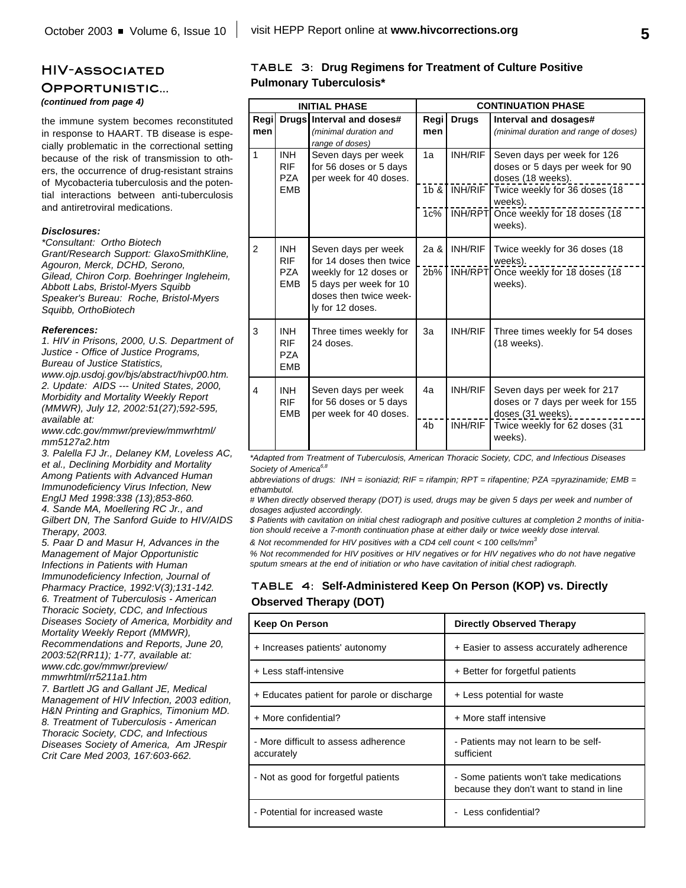### **HIV-associated**

#### **Opportunistic...**

*(continued from page 4)*

the immune system becomes reconstituted in response to HAART. TB disease is especially problematic in the correctional setting because of the risk of transmission to others, the occurrence of drug-resistant strains of Mycobacteria tuberculosis and the potential interactions between anti-tuberculosis and antiretroviral medications.

#### *Disclosures:*

*\*Consultant: Ortho Biotech Grant/Research Support: GlaxoSmithKline, Agouron, Merck, DCHD, Serono, Gilead, Chiron Corp. Boehringer Ingleheim, Abbott Labs, Bristol-Myers Squibb Speaker's Bureau: Roche, Bristol-Myers Squibb, OrthoBiotech*

#### *References:*

*1. HIV in Prisons, 2000, U.S. Department of Justice - Office of Justice Programs, Bureau of Justice Statistics,*

*www.ojp.usdoj.gov/bjs/abstract/hivp00.htm. 2. Update: AIDS --- United States, 2000, Morbidity and Mortality Weekly Report (MMWR), July 12, 2002:51(27);592-595, available at:*

*www.cdc.gov/mmwr/preview/mmwrhtml/ mm5127a2.htm*

*3. Palella FJ Jr., Delaney KM, Loveless AC, et al., Declining Morbidity and Mortality Among Patients with Advanced Human Immunodeficiency Virus Infection, New EnglJ Med 1998:338 (13);853-860.*

*4. Sande MA, Moellering RC Jr., and Gilbert DN, The Sanford Guide to HIV/AIDS Therapy, 2003.*

*5. Paar D and Masur H, Advances in the Management of Major Opportunistic Infections in Patients with Human Immunodeficiency Infection, Journal of Pharmacy Practice, 1992:V(3);131-142. 6. Treatment of Tuberculosis - American Thoracic Society, CDC, and Infectious Diseases Society of America, Morbidity and Mortality Weekly Report (MMWR), Recommendations and Reports, June 20, 2003:52(RR11); 1-77, available at: www.cdc.gov/mmwr/preview/ mmwrhtml/rr5211a1.htm*

*7. Bartlett JG and Gallant JE, Medical Management of HIV Infection, 2003 edition, H&N Printing and Graphics, Timonium MD. 8. Treatment of Tuberculosis - American Thoracic Society, CDC, and Infectious Diseases Society of America, Am JRespir Crit Care Med 2003, 167:603-662.*

### **TABLE 3: Drug Regimens for Treatment of Culture Positive Pulmonary Tuberculosis\***

| <b>INITIAL PHASE</b>    |                                                      |                                                                                                                                                  |                        |                           | <b>CONTINUATION PHASE</b>                                                                                                                                                           |
|-------------------------|------------------------------------------------------|--------------------------------------------------------------------------------------------------------------------------------------------------|------------------------|---------------------------|-------------------------------------------------------------------------------------------------------------------------------------------------------------------------------------|
| Regi<br>men             |                                                      | Drugs Interval and doses#<br>(minimal duration and<br>range of doses)                                                                            | Regi<br>men            | <b>Drugs</b>              | Interval and dosages#<br>(minimal duration and range of doses)                                                                                                                      |
| $\mathbf{1}$            | <b>INH</b><br><b>RIF</b><br><b>PZA</b><br><b>FMB</b> | Seven days per week<br>for 56 doses or 5 days<br>per week for 40 doses.                                                                          | 1a<br>$1b$ &<br>$1c\%$ | <b>INH/RIF</b><br>INH/RIF | Seven days per week for 126<br>doses or 5 days per week for 90<br>doses (18 weeks).<br>Twice weekly for 36 doses (18<br>weeks).<br>INH/RPT Once weekly for 18 doses (18)<br>weeks). |
| 2                       | <b>INH</b><br><b>RIF</b><br>P7A<br><b>EMB</b>        | Seven days per week<br>for 14 doses then twice<br>weekly for 12 doses or<br>5 days per week for 10<br>doses then twice week-<br>ly for 12 doses. | 2a &<br>2b%            | <b>INH/RIF</b><br>INH/RPT | Twice weekly for 36 doses (18<br>weeks).<br>Once weekly for 18 doses (18<br>weeks).                                                                                                 |
| 3                       | <b>INH</b><br><b>RIF</b><br><b>PZA</b><br><b>EMB</b> | Three times weekly for<br>24 doses.                                                                                                              | 3a                     | <b>INH/RIF</b>            | Three times weekly for 54 doses<br>(18 weeks).                                                                                                                                      |
| $\overline{\mathbf{A}}$ | <b>INH</b><br><b>RIF</b><br><b>FMB</b>               | Seven days per week<br>for 56 doses or 5 days<br>per week for 40 doses.                                                                          | 4a<br>4 <sub>b</sub>   | INH/RIF<br>INH/RIF        | Seven days per week for 217<br>doses or 7 days per week for 155<br>doses (31 weeks).<br>Twice weekly for 62 doses (31<br>weeks).                                                    |

*\*Adapted from Treatment of Tuberculosis, American Thoracic Society, CDC, and Infectious Diseases Society of America 6,8*

*abbreviations of drugs: INH = isoniazid; RIF = rifampin; RPT = rifapentine; PZA =pyrazinamide; EMB = ethambutol.*

*# When directly observed therapy (DOT) is used, drugs may be given 5 days per week and number of dosages adjusted accordingly.*

*\$ Patients with cavitation on initial chest radiograph and positive cultures at completion 2 months of initiation should receive a 7-month continuation phase at either daily or twice weekly dose interval.*

*& Not recommended for HIV positives with a CD4 cell count < 100 cells/mm 3*

*% Not recommended for HIV positives or HIV negatives or for HIV negatives who do not have negative sputum smears at the end of initiation or who have cavitation of initial chest radiograph.*

### **TABLE 4: Self-Administered Keep On Person (KOP) vs. Directly Observed Therapy (DOT)**

| <b>Keep On Person</b>                              | <b>Directly Observed Therapy</b>                                                   |
|----------------------------------------------------|------------------------------------------------------------------------------------|
| + Increases patients' autonomy                     | + Easier to assess accurately adherence                                            |
| + Less staff-intensive                             | + Better for forgetful patients                                                    |
| + Educates patient for parole or discharge         | + Less potential for waste                                                         |
| + More confidential?                               | + More staff intensive                                                             |
| - More difficult to assess adherence<br>accurately | - Patients may not learn to be self-<br>sufficient                                 |
| - Not as good for forgetful patients               | - Some patients won't take medications<br>because they don't want to stand in line |
| - Potential for increased waste                    | Less confidential?<br>$\overline{\phantom{0}}$                                     |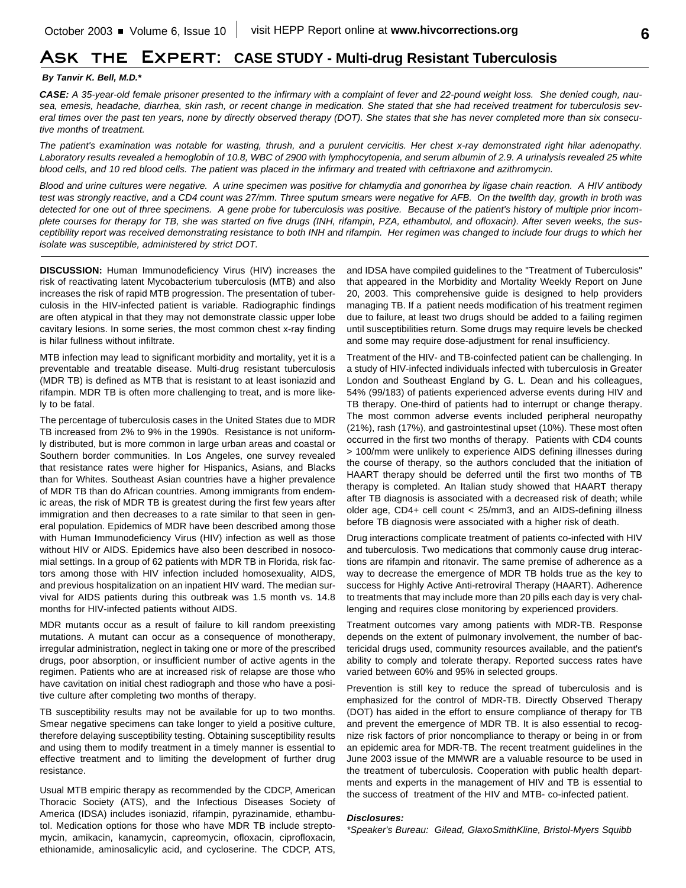# **Ask the Expert: CASE STUDY - Multi-drug Resistant Tuberculosis**

#### *By Tanvir K. Bell, M.D.\**

*CASE: A 35-year-old female prisoner presented to the infirmary with a complaint of fever and 22-pound weight loss. She denied cough, nausea, emesis, headache, diarrhea, skin rash, or recent change in medication. She stated that she had received treatment for tuberculosis several times over the past ten years, none by directly observed therapy (DOT). She states that she has never completed more than six consecutive months of treatment.* 

*The patient's examination was notable for wasting, thrush, and a purulent cervicitis. Her chest x-ray demonstrated right hilar adenopathy.* Laboratory results revealed a hemoglobin of 10.8, WBC of 2900 with lymphocytopenia, and serum albumin of 2.9. A urinalysis revealed 25 white *blood cells, and 10 red blood cells. The patient was placed in the infirmary and treated with ceftriaxone and azithromycin.*

*Blood and urine cultures were negative. A urine specimen was positive for chlamydia and gonorrhea by ligase chain reaction. A HIV antibody test was strongly reactive, and a CD4 count was 27/mm. Three sputum smears were negative for AFB. On the twelfth day, growth in broth was detected for one out of three specimens. A gene probe for tuberculosis was positive. Because of the patient's history of multiple prior incomplete courses for therapy for TB, she was started on five drugs (INH, rifampin, PZA, ethambutol, and ofloxacin). After seven weeks, the susceptibility report was received demonstrating resistance to both INH and rifampin. Her regimen was changed to include four drugs to which her isolate was susceptible, administered by strict DOT.*

**DISCUSSION:** Human Immunodeficiency Virus (HIV) increases the risk of reactivating latent Mycobacterium tuberculosis (MTB) and also increases the risk of rapid MTB progression. The presentation of tuberculosis in the HIV-infected patient is variable. Radiographic findings are often atypical in that they may not demonstrate classic upper lobe cavitary lesions. In some series, the most common chest x-ray finding is hilar fullness without infiltrate.

MTB infection may lead to significant morbidity and mortality, yet it is a preventable and treatable disease. Multi-drug resistant tuberculosis (MDR TB) is defined as MTB that is resistant to at least isoniazid and rifampin. MDR TB is often more challenging to treat, and is more likely to be fatal.

The percentage of tuberculosis cases in the United States due to MDR TB increased from 2% to 9% in the 1990s. Resistance is not uniformly distributed, but is more common in large urban areas and coastal or Southern border communities. In Los Angeles, one survey revealed that resistance rates were higher for Hispanics, Asians, and Blacks than for Whites. Southeast Asian countries have a higher prevalence of MDR TB than do African countries. Among immigrants from endemic areas, the risk of MDR TB is greatest during the first few years after immigration and then decreases to a rate similar to that seen in general population. Epidemics of MDR have been described among those with Human Immunodeficiency Virus (HIV) infection as well as those without HIV or AIDS. Epidemics have also been described in nosocomial settings. In a group of 62 patients with MDR TB in Florida, risk factors among those with HIV infection included homosexuality, AIDS, and previous hospitalization on an inpatient HIV ward. The median survival for AIDS patients during this outbreak was 1.5 month vs. 14.8 months for HIV-infected patients without AIDS.

MDR mutants occur as a result of failure to kill random preexisting mutations. A mutant can occur as a consequence of monotherapy, irregular administration, neglect in taking one or more of the prescribed drugs, poor absorption, or insufficient number of active agents in the regimen. Patients who are at increased risk of relapse are those who have cavitation on initial chest radiograph and those who have a positive culture after completing two months of therapy.

TB susceptibility results may not be available for up to two months. Smear negative specimens can take longer to yield a positive culture, therefore delaying susceptibility testing. Obtaining susceptibility results and using them to modify treatment in a timely manner is essential to effective treatment and to limiting the development of further drug resistance.

Usual MTB empiric therapy as recommended by the CDCP, American Thoracic Society (ATS), and the Infectious Diseases Society of America (IDSA) includes isoniazid, rifampin, pyrazinamide, ethambutol. Medication options for those who have MDR TB include streptomycin, amikacin, kanamycin, capreomycin, ofloxacin, ciprofloxacin, ethionamide, aminosalicylic acid, and cycloserine. The CDCP, ATS, and IDSA have compiled guidelines to the "Treatment of Tuberculosis" that appeared in the Morbidity and Mortality Weekly Report on June 20, 2003. This comprehensive guide is designed to help providers managing TB. If a patient needs modification of his treatment regimen due to failure, at least two drugs should be added to a failing regimen until susceptibilities return. Some drugs may require levels be checked and some may require dose-adjustment for renal insufficiency.

Treatment of the HIV- and TB-coinfected patient can be challenging. In a study of HIV-infected individuals infected with tuberculosis in Greater London and Southeast England by G. L. Dean and his colleagues, 54% (99/183) of patients experienced adverse events during HIV and TB therapy. One-third of patients had to interrupt or change therapy. The most common adverse events included peripheral neuropathy (21%), rash (17%), and gastrointestinal upset (10%). These most often occurred in the first two months of therapy. Patients with CD4 counts > 100/mm were unlikely to experience AIDS defining illnesses during the course of therapy, so the authors concluded that the initiation of HAART therapy should be deferred until the first two months of TB therapy is completed. An Italian study showed that HAART therapy after TB diagnosis is associated with a decreased risk of death; while older age, CD4+ cell count < 25/mm3, and an AIDS-defining illness before TB diagnosis were associated with a higher risk of death.

Drug interactions complicate treatment of patients co-infected with HIV and tuberculosis. Two medications that commonly cause drug interactions are rifampin and ritonavir. The same premise of adherence as a way to decrease the emergence of MDR TB holds true as the key to success for Highly Active Anti-retroviral Therapy (HAART). Adherence to treatments that may include more than 20 pills each day is very challenging and requires close monitoring by experienced providers.

Treatment outcomes vary among patients with MDR-TB. Response depends on the extent of pulmonary involvement, the number of bactericidal drugs used, community resources available, and the patient's ability to comply and tolerate therapy. Reported success rates have varied between 60% and 95% in selected groups.

Prevention is still key to reduce the spread of tuberculosis and is emphasized for the control of MDR-TB. Directly Observed Therapy (DOT) has aided in the effort to ensure compliance of therapy for TB and prevent the emergence of MDR TB. It is also essential to recognize risk factors of prior noncompliance to therapy or being in or from an epidemic area for MDR-TB. The recent treatment guidelines in the June 2003 issue of the MMWR are a valuable resource to be used in the treatment of tuberculosis. Cooperation with public health departments and experts in the management of HIV and TB is essential to the success of treatment of the HIV and MTB- co-infected patient.

#### *Disclosures:*

*\*Speaker's Bureau: Gilead, GlaxoSmithKline, Bristol-Myers Squibb*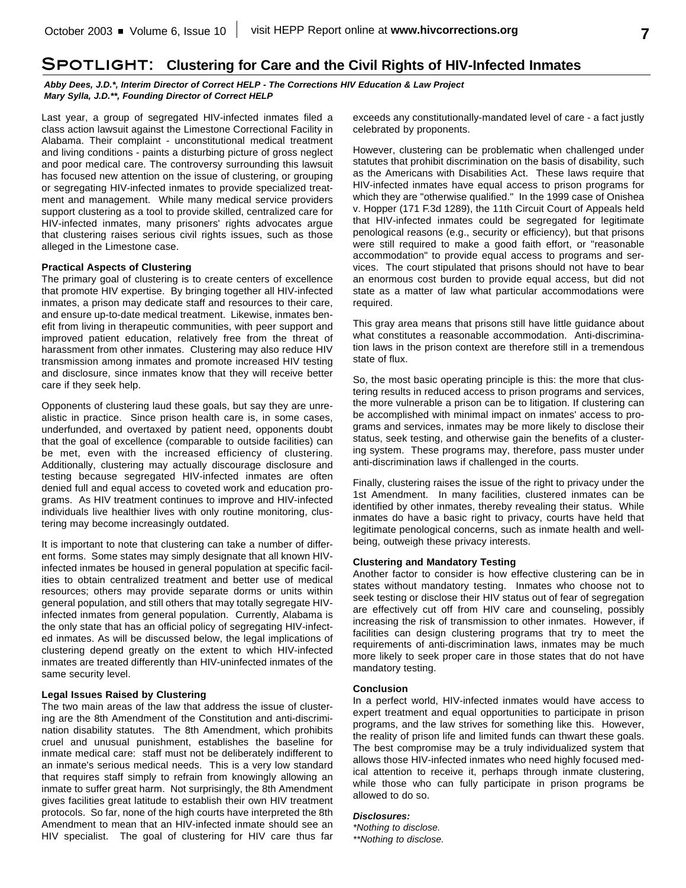## **Spotlight: Clustering for Care and the Civil Rights of HIV-Infected Inmates**

*Abby Dees, J.D.\*, Interim Director of Correct HELP - The Corrections HIV Education & Law Project Mary Sylla, J.D.\*\*, Founding Director of Correct HELP*

Last year, a group of segregated HIV-infected inmates filed a class action lawsuit against the Limestone Correctional Facility in Alabama. Their complaint - unconstitutional medical treatment and living conditions - paints a disturbing picture of gross neglect and poor medical care. The controversy surrounding this lawsuit has focused new attention on the issue of clustering, or grouping or segregating HIV-infected inmates to provide specialized treatment and management. While many medical service providers support clustering as a tool to provide skilled, centralized care for HIV-infected inmates, many prisoners' rights advocates argue that clustering raises serious civil rights issues, such as those alleged in the Limestone case.

#### **Practical Aspects of Clustering**

The primary goal of clustering is to create centers of excellence that promote HIV expertise. By bringing together all HIV-infected inmates, a prison may dedicate staff and resources to their care, and ensure up-to-date medical treatment. Likewise, inmates benefit from living in therapeutic communities, with peer support and improved patient education, relatively free from the threat of harassment from other inmates. Clustering may also reduce HIV transmission among inmates and promote increased HIV testing and disclosure, since inmates know that they will receive better care if they seek help.

Opponents of clustering laud these goals, but say they are unrealistic in practice. Since prison health care is, in some cases, underfunded, and overtaxed by patient need, opponents doubt that the goal of excellence (comparable to outside facilities) can be met, even with the increased efficiency of clustering. Additionally, clustering may actually discourage disclosure and testing because segregated HIV-infected inmates are often denied full and equal access to coveted work and education programs. As HIV treatment continues to improve and HIV-infected individuals live healthier lives with only routine monitoring, clustering may become increasingly outdated.

It is important to note that clustering can take a number of different forms. Some states may simply designate that all known HIVinfected inmates be housed in general population at specific facilities to obtain centralized treatment and better use of medical resources; others may provide separate dorms or units within general population, and still others that may totally segregate HIVinfected inmates from general population. Currently, Alabama is the only state that has an official policy of segregating HIV-infected inmates. As will be discussed below, the legal implications of clustering depend greatly on the extent to which HIV-infected inmates are treated differently than HIV-uninfected inmates of the same security level.

#### **Legal Issues Raised by Clustering**

The two main areas of the law that address the issue of clustering are the 8th Amendment of the Constitution and anti-discrimination disability statutes. The 8th Amendment, which prohibits cruel and unusual punishment, establishes the baseline for inmate medical care: staff must not be deliberately indifferent to an inmate's serious medical needs. This is a very low standard that requires staff simply to refrain from knowingly allowing an inmate to suffer great harm. Not surprisingly, the 8th Amendment gives facilities great latitude to establish their own HIV treatment protocols. So far, none of the high courts have interpreted the 8th Amendment to mean that an HIV-infected inmate should see an HIV specialist. The goal of clustering for HIV care thus far exceeds any constitutionally-mandated level of care - a fact justly celebrated by proponents.

However, clustering can be problematic when challenged under statutes that prohibit discrimination on the basis of disability, such as the Americans with Disabilities Act. These laws require that HIV-infected inmates have equal access to prison programs for which they are "otherwise qualified." In the 1999 case of Onishea v. Hopper (171 F.3d 1289), the 11th Circuit Court of Appeals held that HIV-infected inmates could be segregated for legitimate penological reasons (e.g., security or efficiency), but that prisons were still required to make a good faith effort, or "reasonable accommodation" to provide equal access to programs and services. The court stipulated that prisons should not have to bear an enormous cost burden to provide equal access, but did not state as a matter of law what particular accommodations were required.

This gray area means that prisons still have little guidance about what constitutes a reasonable accommodation. Anti-discrimination laws in the prison context are therefore still in a tremendous state of flux.

So, the most basic operating principle is this: the more that clustering results in reduced access to prison programs and services, the more vulnerable a prison can be to litigation. If clustering can be accomplished with minimal impact on inmates' access to programs and services, inmates may be more likely to disclose their status, seek testing, and otherwise gain the benefits of a clustering system. These programs may, therefore, pass muster under anti-discrimination laws if challenged in the courts.

Finally, clustering raises the issue of the right to privacy under the 1st Amendment. In many facilities, clustered inmates can be identified by other inmates, thereby revealing their status. While inmates do have a basic right to privacy, courts have held that legitimate penological concerns, such as inmate health and wellbeing, outweigh these privacy interests.

#### **Clustering and Mandatory Testing**

Another factor to consider is how effective clustering can be in states without mandatory testing. Inmates who choose not to seek testing or disclose their HIV status out of fear of segregation are effectively cut off from HIV care and counseling, possibly increasing the risk of transmission to other inmates. However, if facilities can design clustering programs that try to meet the requirements of anti-discrimination laws, inmates may be much more likely to seek proper care in those states that do not have mandatory testing.

#### **Conclusion**

In a perfect world, HIV-infected inmates would have access to expert treatment and equal opportunities to participate in prison programs, and the law strives for something like this. However, the reality of prison life and limited funds can thwart these goals. The best compromise may be a truly individualized system that allows those HIV-infected inmates who need highly focused medical attention to receive it, perhaps through inmate clustering, while those who can fully participate in prison programs be allowed to do so.

#### *Disclosures:*

*\*Nothing to disclose. \*\*Nothing to disclose.*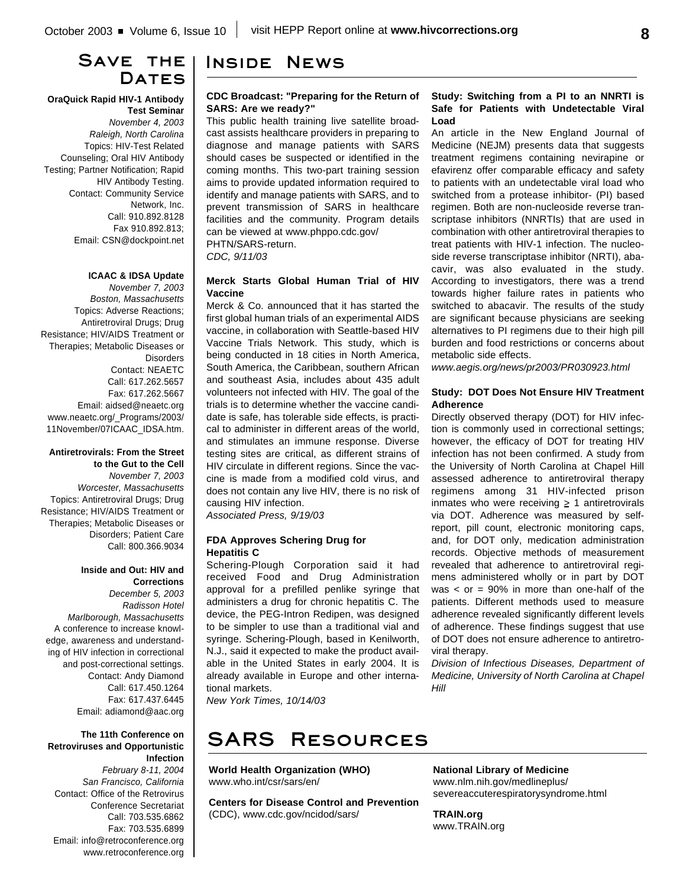# **Save the** DATES

#### **OraQuick Rapid HIV-1 Antibody Test Seminar**

*November 4, 2003 Raleigh, North Carolina* Topics: HIV-Test Related Counseling; Oral HIV Antibody Testing; Partner Notification; Rapid HIV Antibody Testing. Contact: Community Service Network, Inc. Call: 910.892.8128 Fax 910.892.813; Email: CSN@dockpoint.net

#### **ICAAC & IDSA Update**

*November 7, 2003 Boston, Massachusetts* Topics: Adverse Reactions; Antiretroviral Drugs; Drug Resistance; HIV/AIDS Treatment or Therapies; Metabolic Diseases or **Disorders** Contact: NEAETC Call: 617.262.5657 Fax: 617.262.5667 Email: aidsed@neaetc.org www.neaetc.org/\_Programs/2003/ 11November/07ICAAC\_IDSA.htm.

#### **Antiretrovirals: From the Street to the Gut to the Cell**

*November 7, 2003 Worcester, Massachusetts* Topics: Antiretroviral Drugs; Drug Resistance; HIV/AIDS Treatment or Therapies; Metabolic Diseases or Disorders; Patient Care Call: 800.366.9034

### **Inside and Out: HIV and Corrections**

*December 5, 2003 Radisson Hotel Marlborough, Massachusetts* A conference to increase knowledge, awareness and understanding of HIV infection in correctional and post-correctional settings. Contact: Andy Diamond Call: 617.450.1264 Fax: 617.437.6445 Email: adiamond@aac.org

#### **The 11th Conference on Retroviruses and Opportunistic Infection**

*February 8-11, 2004 San Francisco, California* Contact: Office of the Retrovirus Conference Secretariat Call: 703.535.6862 Fax: 703.535.6899 Email: info@retroconference.org www.retroconference.org

# **Inside News**

#### **CDC Broadcast: "Preparing for the Return of SARS: Are we ready?"**

This public health training live satellite broadcast assists healthcare providers in preparing to diagnose and manage patients with SARS should cases be suspected or identified in the coming months. This two-part training session aims to provide updated information required to identify and manage patients with SARS, and to prevent transmission of SARS in healthcare facilities and the community. Program details can be viewed at www.phppo.cdc.gov/ PHTN/SARS-return. *CDC, 9/11/03*

#### **Merck Starts Global Human Trial of HIV Vaccine**

Merck & Co. announced that it has started the first global human trials of an experimental AIDS vaccine, in collaboration with Seattle-based HIV Vaccine Trials Network. This study, which is being conducted in 18 cities in North America, South America, the Caribbean, southern African and southeast Asia, includes about 435 adult volunteers not infected with HIV. The goal of the trials is to determine whether the vaccine candidate is safe, has tolerable side effects, is practical to administer in different areas of the world, and stimulates an immune response. Diverse testing sites are critical, as different strains of HIV circulate in different regions. Since the vaccine is made from a modified cold virus, and does not contain any live HIV, there is no risk of causing HIV infection.

*Associated Press, 9/19/03*

#### **FDA Approves Schering Drug for Hepatitis C**

Schering-Plough Corporation said it had received Food and Drug Administration approval for a prefilled penlike syringe that administers a drug for chronic hepatitis C. The device, the PEG-Intron Redipen, was designed to be simpler to use than a traditional vial and syringe. Schering-Plough, based in Kenilworth, N.J., said it expected to make the product available in the United States in early 2004. It is already available in Europe and other international markets.

*New York Times, 10/14/03*

# **SARS Resources**

**World Health Organization (WHO)** www.who.int/csr/sars/en/

**Centers for Disease Control and Prevention** (CDC), www.cdc.gov/ncidod/sars/

#### **Study: Switching from a PI to an NNRTI is Safe for Patients with Undetectable Viral Load**

An article in the New England Journal of Medicine (NEJM) presents data that suggests treatment regimens containing nevirapine or efavirenz offer comparable efficacy and safety to patients with an undetectable viral load who switched from a protease inhibitor- (PI) based regimen. Both are non-nucleoside reverse transcriptase inhibitors (NNRTIs) that are used in combination with other antiretroviral therapies to treat patients with HIV-1 infection. The nucleoside reverse transcriptase inhibitor (NRTI), abacavir, was also evaluated in the study. According to investigators, there was a trend towards higher failure rates in patients who switched to abacavir. The results of the study are significant because physicians are seeking alternatives to PI regimens due to their high pill burden and food restrictions or concerns about metabolic side effects.

*www.aegis.org/news/pr2003/PR030923.html*

#### **Study: DOT Does Not Ensure HIV Treatment Adherence**

Directly observed therapy (DOT) for HIV infection is commonly used in correctional settings; however, the efficacy of DOT for treating HIV infection has not been confirmed. A study from the University of North Carolina at Chapel Hill assessed adherence to antiretroviral therapy regimens among 31 HIV-infected prison inmates who were receiving  $\geq 1$  antiretrovirals via DOT. Adherence was measured by selfreport, pill count, electronic monitoring caps, and, for DOT only, medication administration records. Objective methods of measurement revealed that adherence to antiretroviral regimens administered wholly or in part by DOT was  $\langle$  or = 90% in more than one-half of the patients. Different methods used to measure adherence revealed significantly different levels of adherence. These findings suggest that use of DOT does not ensure adherence to antiretroviral therapy.

*Division of Infectious Diseases, Department of Medicine, University of North Carolina at Chapel Hill*

#### **National Library of Medicine** www.nlm.nih.gov/medlineplus/ severeaccuterespiratorysyndrome.html

**TRAIN.org** www.TRAIN.org